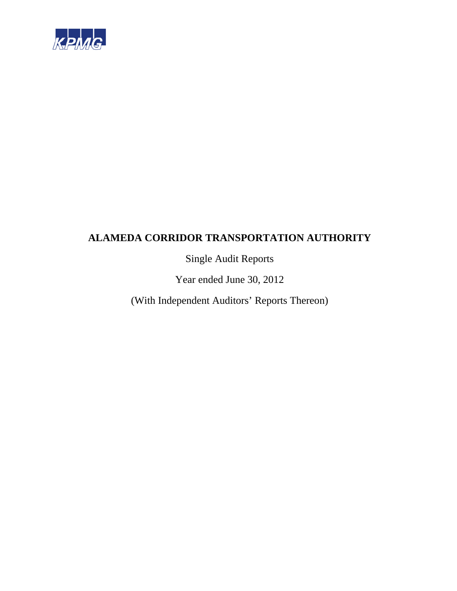

Single Audit Reports

Year ended June 30, 2012

(With Independent Auditors' Reports Thereon)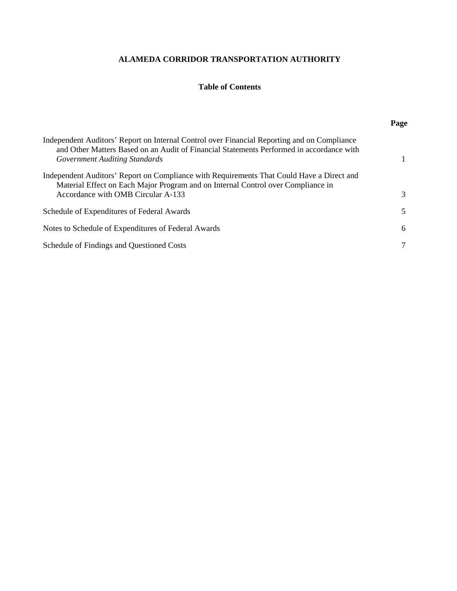# **Table of Contents**

|                                                                                                                                                                                                                          | Page |
|--------------------------------------------------------------------------------------------------------------------------------------------------------------------------------------------------------------------------|------|
| Independent Auditors' Report on Internal Control over Financial Reporting and on Compliance<br>and Other Matters Based on an Audit of Financial Statements Performed in accordance with<br>Government Auditing Standards |      |
| Independent Auditors' Report on Compliance with Requirements That Could Have a Direct and<br>Material Effect on Each Major Program and on Internal Control over Compliance in<br>Accordance with OMB Circular A-133      | 3    |
| Schedule of Expenditures of Federal Awards                                                                                                                                                                               | 5    |
| Notes to Schedule of Expenditures of Federal Awards                                                                                                                                                                      | 6    |
| Schedule of Findings and Questioned Costs                                                                                                                                                                                |      |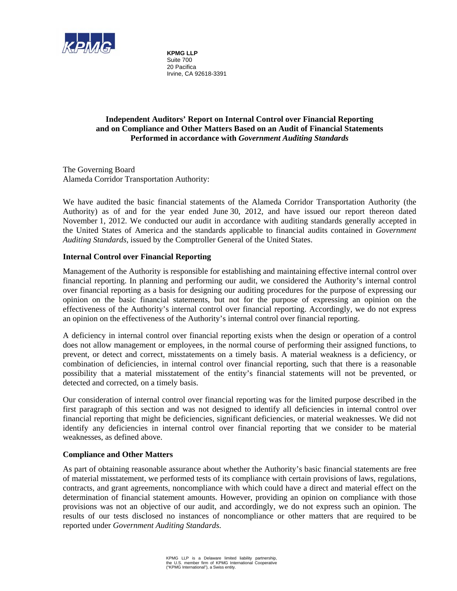

**KPMG LLP**  Suite 700 20 Pacifica Irvine, CA 92618-3391

# **Independent Auditors' Report on Internal Control over Financial Reporting and on Compliance and Other Matters Based on an Audit of Financial Statements Performed in accordance with** *Government Auditing Standards*

The Governing Board Alameda Corridor Transportation Authority:

We have audited the basic financial statements of the Alameda Corridor Transportation Authority (the Authority) as of and for the year ended June 30, 2012, and have issued our report thereon dated November 1, 2012. We conducted our audit in accordance with auditing standards generally accepted in the United States of America and the standards applicable to financial audits contained in *Government Auditing Standards*, issued by the Comptroller General of the United States.

## **Internal Control over Financial Reporting**

Management of the Authority is responsible for establishing and maintaining effective internal control over financial reporting. In planning and performing our audit, we considered the Authority's internal control over financial reporting as a basis for designing our auditing procedures for the purpose of expressing our opinion on the basic financial statements, but not for the purpose of expressing an opinion on the effectiveness of the Authority's internal control over financial reporting. Accordingly, we do not express an opinion on the effectiveness of the Authority's internal control over financial reporting.

A deficiency in internal control over financial reporting exists when the design or operation of a control does not allow management or employees, in the normal course of performing their assigned functions, to prevent, or detect and correct, misstatements on a timely basis. A material weakness is a deficiency, or combination of deficiencies, in internal control over financial reporting, such that there is a reasonable possibility that a material misstatement of the entity's financial statements will not be prevented, or detected and corrected, on a timely basis.

Our consideration of internal control over financial reporting was for the limited purpose described in the first paragraph of this section and was not designed to identify all deficiencies in internal control over financial reporting that might be deficiencies, significant deficiencies, or material weaknesses. We did not identify any deficiencies in internal control over financial reporting that we consider to be material weaknesses, as defined above.

#### **Compliance and Other Matters**

As part of obtaining reasonable assurance about whether the Authority's basic financial statements are free of material misstatement, we performed tests of its compliance with certain provisions of laws, regulations, contracts, and grant agreements, noncompliance with which could have a direct and material effect on the determination of financial statement amounts. However, providing an opinion on compliance with those provisions was not an objective of our audit, and accordingly, we do not express such an opinion. The results of our tests disclosed no instances of noncompliance or other matters that are required to be reported under *Government Auditing Standards*.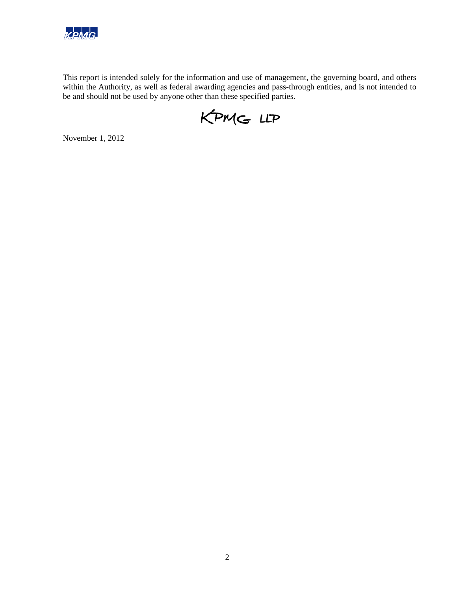

This report is intended solely for the information and use of management, the governing board, and others within the Authority, as well as federal awarding agencies and pass-through entities, and is not intended to be and should not be used by anyone other than these specified parties.

KPMG LLP

November 1, 2012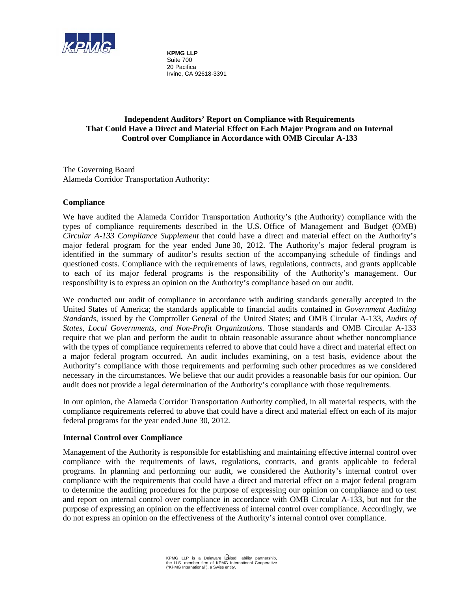

**KPMG LLP**  Suite 700 20 Pacifica Irvine, CA 92618-3391

# **Independent Auditors' Report on Compliance with Requirements That Could Have a Direct and Material Effect on Each Major Program and on Internal Control over Compliance in Accordance with OMB Circular A-133**

The Governing Board Alameda Corridor Transportation Authority:

#### **Compliance**

We have audited the Alameda Corridor Transportation Authority's (the Authority) compliance with the types of compliance requirements described in the U.S. Office of Management and Budget (OMB) *Circular A-133 Compliance Supplement* that could have a direct and material effect on the Authority's major federal program for the year ended June 30, 2012. The Authority's major federal program is identified in the summary of auditor's results section of the accompanying schedule of findings and questioned costs. Compliance with the requirements of laws, regulations, contracts, and grants applicable to each of its major federal programs is the responsibility of the Authority's management. Our responsibility is to express an opinion on the Authority's compliance based on our audit.

We conducted our audit of compliance in accordance with auditing standards generally accepted in the United States of America; the standards applicable to financial audits contained in *Government Auditing Standards,* issued by the Comptroller General of the United States; and OMB Circular A-133, *Audits of States, Local Governments, and Non-Profit Organizations*. Those standards and OMB Circular A-133 require that we plan and perform the audit to obtain reasonable assurance about whether noncompliance with the types of compliance requirements referred to above that could have a direct and material effect on a major federal program occurred. An audit includes examining, on a test basis, evidence about the Authority's compliance with those requirements and performing such other procedures as we considered necessary in the circumstances. We believe that our audit provides a reasonable basis for our opinion. Our audit does not provide a legal determination of the Authority's compliance with those requirements.

In our opinion, the Alameda Corridor Transportation Authority complied, in all material respects, with the compliance requirements referred to above that could have a direct and material effect on each of its major federal programs for the year ended June 30, 2012.

#### **Internal Control over Compliance**

Management of the Authority is responsible for establishing and maintaining effective internal control over compliance with the requirements of laws, regulations, contracts, and grants applicable to federal programs. In planning and performing our audit, we considered the Authority's internal control over compliance with the requirements that could have a direct and material effect on a major federal program to determine the auditing procedures for the purpose of expressing our opinion on compliance and to test and report on internal control over compliance in accordance with OMB Circular A-133, but not for the purpose of expressing an opinion on the effectiveness of internal control over compliance. Accordingly, we do not express an opinion on the effectiveness of the Authority's internal control over compliance.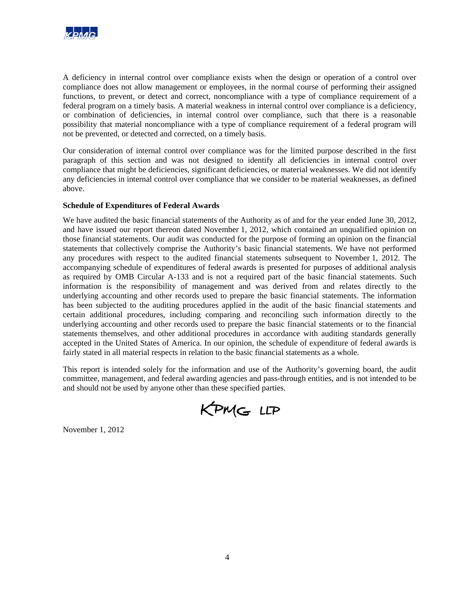

A deficiency in internal control over compliance exists when the design or operation of a control over compliance does not allow management or employees, in the normal course of performing their assigned functions, to prevent, or detect and correct, noncompliance with a type of compliance requirement of a federal program on a timely basis. A material weakness in internal control over compliance is a deficiency, or combination of deficiencies, in internal control over compliance, such that there is a reasonable possibility that material noncompliance with a type of compliance requirement of a federal program will not be prevented, or detected and corrected, on a timely basis.

Our consideration of internal control over compliance was for the limited purpose described in the first paragraph of this section and was not designed to identify all deficiencies in internal control over compliance that might be deficiencies, significant deficiencies, or material weaknesses. We did not identify any deficiencies in internal control over compliance that we consider to be material weaknesses, as defined above.

## **Schedule of Expenditures of Federal Awards**

We have audited the basic financial statements of the Authority as of and for the year ended June 30, 2012, and have issued our report thereon dated November 1, 2012, which contained an unqualified opinion on those financial statements. Our audit was conducted for the purpose of forming an opinion on the financial statements that collectively comprise the Authority's basic financial statements. We have not performed any procedures with respect to the audited financial statements subsequent to November 1, 2012. The accompanying schedule of expenditures of federal awards is presented for purposes of additional analysis as required by OMB Circular A-133 and is not a required part of the basic financial statements. Such information is the responsibility of management and was derived from and relates directly to the underlying accounting and other records used to prepare the basic financial statements. The information has been subjected to the auditing procedures applied in the audit of the basic financial statements and certain additional procedures, including comparing and reconciling such information directly to the underlying accounting and other records used to prepare the basic financial statements or to the financial statements themselves, and other additional procedures in accordance with auditing standards generally accepted in the United States of America. In our opinion, the schedule of expenditure of federal awards is fairly stated in all material respects in relation to the basic financial statements as a whole.

This report is intended solely for the information and use of the Authority's governing board, the audit committee, management, and federal awarding agencies and pass-through entities, and is not intended to be and should not be used by anyone other than these specified parties.

KPMG LLP

November 1, 2012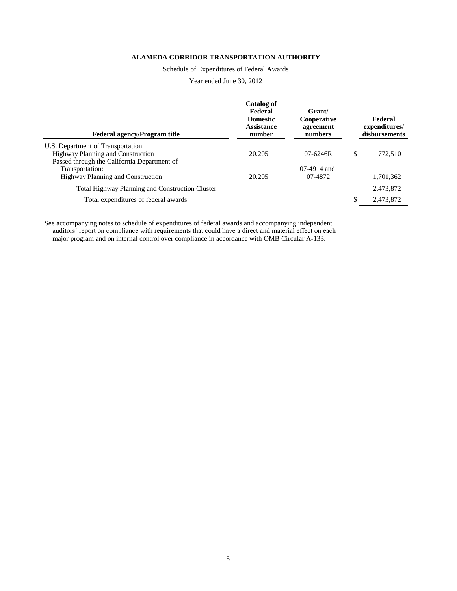Schedule of Expenditures of Federal Awards

Year ended June 30, 2012

| <b>Federal agency/Program title</b>                    | Catalog of<br>Federal<br><b>Domestic</b><br><b>Assistance</b><br>number | Grant/<br>Cooperative<br>agreement<br>numbers | Federal<br>expenditures/<br>disbursements |
|--------------------------------------------------------|-------------------------------------------------------------------------|-----------------------------------------------|-------------------------------------------|
| U.S. Department of Transportation:                     |                                                                         |                                               |                                           |
| <b>Highway Planning and Construction</b>               | 20.205                                                                  | $07 - 6246R$                                  | \$<br>772,510                             |
| Passed through the California Department of            |                                                                         |                                               |                                           |
| Transportation:                                        |                                                                         | $07-4914$ and                                 |                                           |
| <b>Highway Planning and Construction</b>               | 20.205                                                                  | 07-4872                                       | 1,701,362                                 |
| <b>Total Highway Planning and Construction Cluster</b> |                                                                         |                                               | 2,473,872                                 |
| Total expenditures of federal awards                   |                                                                         |                                               | \$<br>2,473,872                           |
|                                                        |                                                                         |                                               |                                           |

See accompanying notes to schedule of expenditures of federal awards and accompanying independent auditors' report on compliance with requirements that could have a direct and material effect on each major program and on internal control over compliance in accordance with OMB Circular A-133.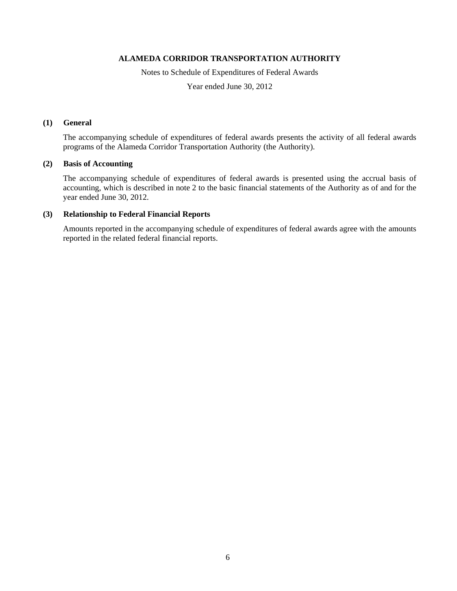Notes to Schedule of Expenditures of Federal Awards

Year ended June 30, 2012

#### **(1) General**

The accompanying schedule of expenditures of federal awards presents the activity of all federal awards programs of the Alameda Corridor Transportation Authority (the Authority).

#### **(2) Basis of Accounting**

The accompanying schedule of expenditures of federal awards is presented using the accrual basis of accounting, which is described in note 2 to the basic financial statements of the Authority as of and for the year ended June 30, 2012.

#### **(3) Relationship to Federal Financial Reports**

Amounts reported in the accompanying schedule of expenditures of federal awards agree with the amounts reported in the related federal financial reports.